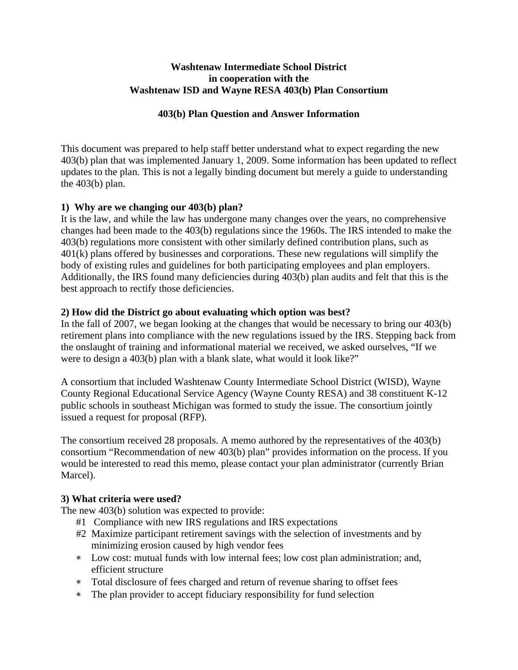### **Washtenaw Intermediate School District in cooperation with the Washtenaw ISD and Wayne RESA 403(b) Plan Consortium**

### **403(b) Plan Question and Answer Information**

This document was prepared to help staff better understand what to expect regarding the new 403(b) plan that was implemented January 1, 2009. Some information has been updated to reflect updates to the plan. This is not a legally binding document but merely a guide to understanding the 403(b) plan.

## **1) Why are we changing our 403(b) plan?**

It is the law, and while the law has undergone many changes over the years, no comprehensive changes had been made to the 403(b) regulations since the 1960s. The IRS intended to make the 403(b) regulations more consistent with other similarly defined contribution plans, such as 401(k) plans offered by businesses and corporations. These new regulations will simplify the body of existing rules and guidelines for both participating employees and plan employers. Additionally, the IRS found many deficiencies during 403(b) plan audits and felt that this is the best approach to rectify those deficiencies.

### **2) How did the District go about evaluating which option was best?**

In the fall of 2007, we began looking at the changes that would be necessary to bring our 403(b) retirement plans into compliance with the new regulations issued by the IRS. Stepping back from the onslaught of training and informational material we received, we asked ourselves, "If we were to design a 403(b) plan with a blank slate, what would it look like?"

A consortium that included Washtenaw County Intermediate School District (WISD), Wayne County Regional Educational Service Agency (Wayne County RESA) and 38 constituent K-12 public schools in southeast Michigan was formed to study the issue. The consortium jointly issued a request for proposal (RFP).

The consortium received 28 proposals. A memo authored by the representatives of the 403(b) consortium "Recommendation of new 403(b) plan" provides information on the process. If you would be interested to read this memo, please contact your plan administrator (currently Brian Marcel).

#### **3) What criteria were used?**

The new 403(b) solution was expected to provide:

- #1 Compliance with new IRS regulations and IRS expectations
- #2 Maximize participant retirement savings with the selection of investments and by minimizing erosion caused by high vendor fees
- Low cost: mutual funds with low internal fees; low cost plan administration; and, efficient structure
- Total disclosure of fees charged and return of revenue sharing to offset fees
- The plan provider to accept fiduciary responsibility for fund selection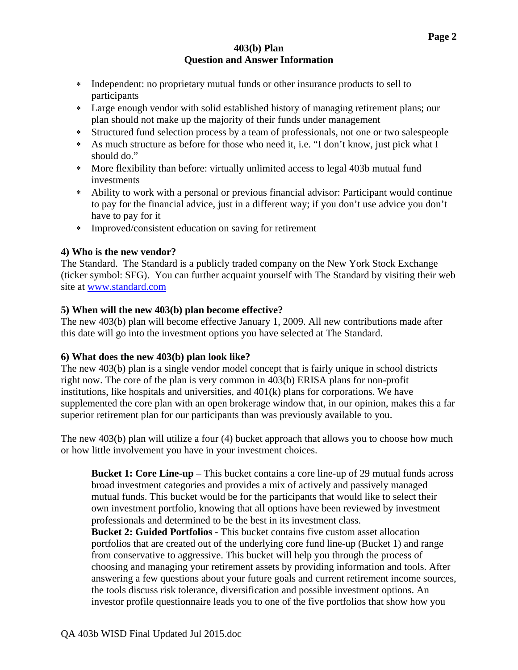- Independent: no proprietary mutual funds or other insurance products to sell to participants
- Large enough vendor with solid established history of managing retirement plans; our plan should not make up the majority of their funds under management
- Structured fund selection process by a team of professionals, not one or two salespeople
- As much structure as before for those who need it, i.e. "I don't know, just pick what I should do."
- More flexibility than before: virtually unlimited access to legal 403b mutual fund investments
- Ability to work with a personal or previous financial advisor: Participant would continue to pay for the financial advice, just in a different way; if you don't use advice you don't have to pay for it
- Improved/consistent education on saving for retirement

## **4) Who is the new vendor?**

The Standard. The Standard is a publicly traded company on the New York Stock Exchange (ticker symbol: SFG). You can further acquaint yourself with The Standard by visiting their web site at www.standard.com

# **5) When will the new 403(b) plan become effective?**

The new 403(b) plan will become effective January 1, 2009. All new contributions made after this date will go into the investment options you have selected at The Standard.

## **6) What does the new 403(b) plan look like?**

The new 403(b) plan is a single vendor model concept that is fairly unique in school districts right now. The core of the plan is very common in 403(b) ERISA plans for non-profit institutions, like hospitals and universities, and 401(k) plans for corporations. We have supplemented the core plan with an open brokerage window that, in our opinion, makes this a far superior retirement plan for our participants than was previously available to you.

The new 403(b) plan will utilize a four (4) bucket approach that allows you to choose how much or how little involvement you have in your investment choices.

**Bucket 1: Core Line-up** – This bucket contains a core line-up of 29 mutual funds across broad investment categories and provides a mix of actively and passively managed mutual funds. This bucket would be for the participants that would like to select their own investment portfolio, knowing that all options have been reviewed by investment professionals and determined to be the best in its investment class.

**Bucket 2: Guided Portfolios** - This bucket contains five custom asset allocation portfolios that are created out of the underlying core fund line-up (Bucket 1) and range from conservative to aggressive. This bucket will help you through the process of choosing and managing your retirement assets by providing information and tools. After answering a few questions about your future goals and current retirement income sources, the tools discuss risk tolerance, diversification and possible investment options. An investor profile questionnaire leads you to one of the five portfolios that show how you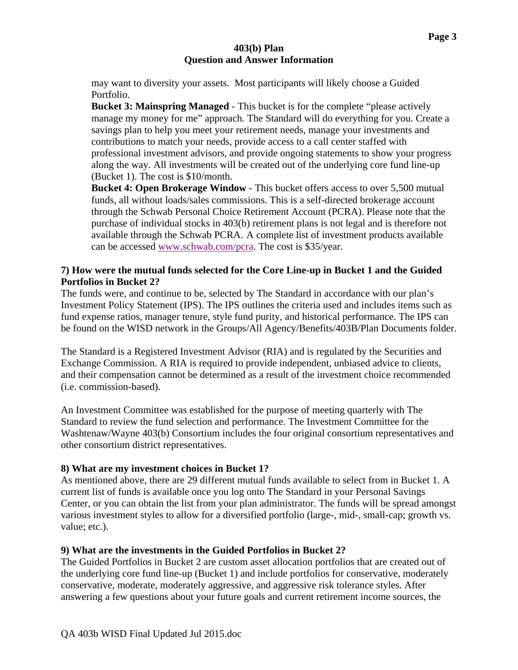may want to diversity your assets. Most participants will likely choose a Guided Portfolio.

**Bucket 3: Mainspring Managed** - This bucket is for the complete "please actively manage my money for me" approach. The Standard will do everything for you. Create a savings plan to help you meet your retirement needs, manage your investments and contributions to match your needs, provide access to a call center staffed with professional investment advisors, and provide ongoing statements to show your progress along the way. All investments will be created out of the underlying core fund line-up (Bucket 1). The cost is \$10/month.

**Bucket 4: Open Brokerage Window** - This bucket offers access to over 5,500 mutual funds, all without loads/sales commissions. This is a self-directed brokerage account through the Schwab Personal Choice Retirement Account (PCRA). Please note that the purchase of individual stocks in 403(b) retirement plans is not legal and is therefore not available through the Schwab PCRA. A complete list of investment products available can be accessed www.schwab.com/pcra. The cost is \$35/year.

## **7) How were the mutual funds selected for the Core Line-up in Bucket 1 and the Guided Portfolios in Bucket 2?**

The funds were, and continue to be, selected by The Standard in accordance with our plan's Investment Policy Statement (IPS). The IPS outlines the criteria used and includes items such as fund expense ratios, manager tenure, style fund purity, and historical performance. The IPS can be found on the WISD network in the Groups/All Agency/Benefits/403B/Plan Documents folder.

The Standard is a Registered Investment Advisor (RIA) and is regulated by the Securities and Exchange Commission. A RIA is required to provide independent, unbiased advice to clients, and their compensation cannot be determined as a result of the investment choice recommended (i.e. commission-based).

An Investment Committee was established for the purpose of meeting quarterly with The Standard to review the fund selection and performance. The Investment Committee for the Washtenaw/Wayne 403(b) Consortium includes the four original consortium representatives and other consortium district representatives.

## **8) What are my investment choices in Bucket 1?**

As mentioned above, there are 29 different mutual funds available to select from in Bucket 1. A current list of funds is available once you log onto The Standard in your Personal Savings Center, or you can obtain the list from your plan administrator. The funds will be spread amongst various investment styles to allow for a diversified portfolio (large-, mid-, small-cap; growth vs. value; etc.).

## **9) What are the investments in the Guided Portfolios in Bucket 2?**

The Guided Portfolios in Bucket 2 are custom asset allocation portfolios that are created out of the underlying core fund line-up (Bucket 1) and include portfolios for conservative, moderately conservative, moderate, moderately aggressive, and aggressive risk tolerance styles. After answering a few questions about your future goals and current retirement income sources, the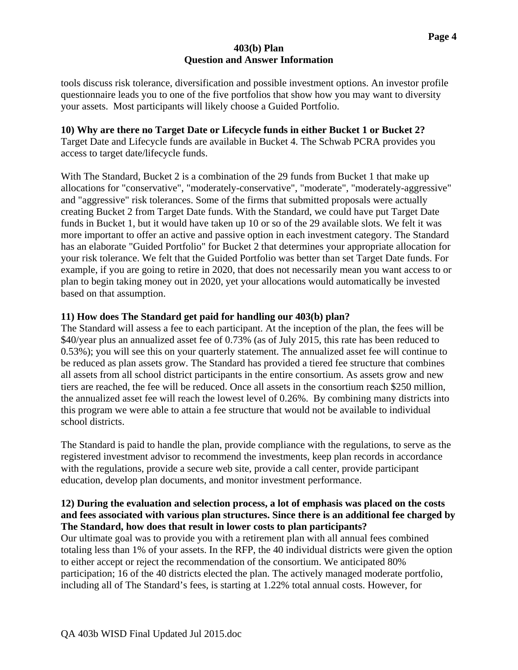tools discuss risk tolerance, diversification and possible investment options. An investor profile questionnaire leads you to one of the five portfolios that show how you may want to diversity your assets. Most participants will likely choose a Guided Portfolio.

# **10) Why are there no Target Date or Lifecycle funds in either Bucket 1 or Bucket 2?**

Target Date and Lifecycle funds are available in Bucket 4. The Schwab PCRA provides you access to target date/lifecycle funds.

With The Standard, Bucket 2 is a combination of the 29 funds from Bucket 1 that make up allocations for "conservative", "moderately-conservative", "moderate", "moderately-aggressive" and "aggressive" risk tolerances. Some of the firms that submitted proposals were actually creating Bucket 2 from Target Date funds. With the Standard, we could have put Target Date funds in Bucket 1, but it would have taken up 10 or so of the 29 available slots. We felt it was more important to offer an active and passive option in each investment category. The Standard has an elaborate "Guided Portfolio" for Bucket 2 that determines your appropriate allocation for your risk tolerance. We felt that the Guided Portfolio was better than set Target Date funds. For example, if you are going to retire in 2020, that does not necessarily mean you want access to or plan to begin taking money out in 2020, yet your allocations would automatically be invested based on that assumption.

# **11) How does The Standard get paid for handling our 403(b) plan?**

The Standard will assess a fee to each participant. At the inception of the plan, the fees will be \$40/year plus an annualized asset fee of 0.73% (as of July 2015, this rate has been reduced to 0.53%); you will see this on your quarterly statement. The annualized asset fee will continue to be reduced as plan assets grow. The Standard has provided a tiered fee structure that combines all assets from all school district participants in the entire consortium. As assets grow and new tiers are reached, the fee will be reduced. Once all assets in the consortium reach \$250 million, the annualized asset fee will reach the lowest level of 0.26%. By combining many districts into this program we were able to attain a fee structure that would not be available to individual school districts.

The Standard is paid to handle the plan, provide compliance with the regulations, to serve as the registered investment advisor to recommend the investments, keep plan records in accordance with the regulations, provide a secure web site, provide a call center, provide participant education, develop plan documents, and monitor investment performance.

## **12) During the evaluation and selection process, a lot of emphasis was placed on the costs and fees associated with various plan structures. Since there is an additional fee charged by The Standard, how does that result in lower costs to plan participants?**

Our ultimate goal was to provide you with a retirement plan with all annual fees combined totaling less than 1% of your assets. In the RFP, the 40 individual districts were given the option to either accept or reject the recommendation of the consortium. We anticipated 80% participation; 16 of the 40 districts elected the plan. The actively managed moderate portfolio, including all of The Standard's fees, is starting at 1.22% total annual costs. However, for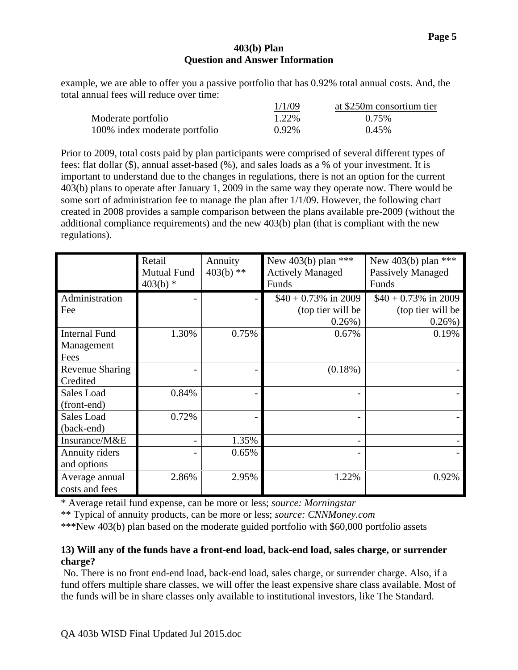example, we are able to offer you a passive portfolio that has 0.92% total annual costs. And, the total annual fees will reduce over time:

|                               | 1/1/09 | at \$250m consortium tier |
|-------------------------------|--------|---------------------------|
| Moderate portfolio            | 1.22%  | 0.75%                     |
| 100% index moderate portfolio | 0.92%  | 0.45%                     |

Prior to 2009, total costs paid by plan participants were comprised of several different types of fees: flat dollar (\$), annual asset-based (%), and sales loads as a % of your investment. It is important to understand due to the changes in regulations, there is not an option for the current 403(b) plans to operate after January 1, 2009 in the same way they operate now. There would be some sort of administration fee to manage the plan after 1/1/09. However, the following chart created in 2008 provides a sample comparison between the plans available pre-2009 (without the additional compliance requirements) and the new 403(b) plan (that is compliant with the new regulations).

|                                            | Retail<br><b>Mutual Fund</b><br>$403(b)$ * | Annuity<br>$403(b)$ ** | New 403(b) plan ***<br><b>Actively Managed</b><br>Funds   | New 403(b) plan ***<br><b>Passively Managed</b><br>Funds  |
|--------------------------------------------|--------------------------------------------|------------------------|-----------------------------------------------------------|-----------------------------------------------------------|
| Administration<br>Fee                      |                                            |                        | $$40 + 0.73\%$ in 2009<br>(top tier will be<br>$0.26\%$ ) | $$40 + 0.73\%$ in 2009<br>(top tier will be<br>$0.26\%$ ) |
| <b>Internal Fund</b><br>Management<br>Fees | 1.30%                                      | 0.75%                  | 0.67%                                                     | 0.19%                                                     |
| <b>Revenue Sharing</b><br>Credited         |                                            |                        | $(0.18\%)$                                                |                                                           |
| Sales Load<br>(front-end)                  | 0.84%                                      |                        |                                                           |                                                           |
| Sales Load<br>(back-end)                   | 0.72%                                      |                        |                                                           |                                                           |
| Insurance/M&E                              |                                            | 1.35%                  |                                                           |                                                           |
| Annuity riders<br>and options              |                                            | 0.65%                  |                                                           |                                                           |
| Average annual<br>costs and fees           | 2.86%                                      | 2.95%                  | 1.22%                                                     | 0.92%                                                     |

\* Average retail fund expense, can be more or less; *source: Morningstar*

\*\* Typical of annuity products, can be more or less; *source: CNNMoney.com*

\*\*\*New 403(b) plan based on the moderate guided portfolio with \$60,000 portfolio assets

### **13) Will any of the funds have a front-end load, back-end load, sales charge, or surrender charge?**

 No. There is no front end-end load, back-end load, sales charge, or surrender charge. Also, if a fund offers multiple share classes, we will offer the least expensive share class available. Most of the funds will be in share classes only available to institutional investors, like The Standard.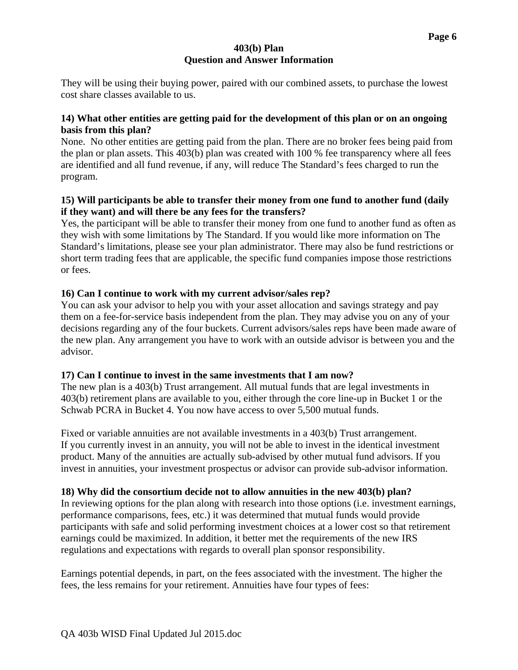They will be using their buying power, paired with our combined assets, to purchase the lowest cost share classes available to us.

## **14) What other entities are getting paid for the development of this plan or on an ongoing basis from this plan?**

None. No other entities are getting paid from the plan. There are no broker fees being paid from the plan or plan assets. This 403(b) plan was created with 100 % fee transparency where all fees are identified and all fund revenue, if any, will reduce The Standard's fees charged to run the program.

## **15) Will participants be able to transfer their money from one fund to another fund (daily if they want) and will there be any fees for the transfers?**

Yes, the participant will be able to transfer their money from one fund to another fund as often as they wish with some limitations by The Standard. If you would like more information on The Standard's limitations, please see your plan administrator. There may also be fund restrictions or short term trading fees that are applicable, the specific fund companies impose those restrictions or fees.

# **16) Can I continue to work with my current advisor/sales rep?**

You can ask your advisor to help you with your asset allocation and savings strategy and pay them on a fee-for-service basis independent from the plan. They may advise you on any of your decisions regarding any of the four buckets. Current advisors/sales reps have been made aware of the new plan. Any arrangement you have to work with an outside advisor is between you and the advisor.

## **17) Can I continue to invest in the same investments that I am now?**

The new plan is a 403(b) Trust arrangement. All mutual funds that are legal investments in 403(b) retirement plans are available to you, either through the core line-up in Bucket 1 or the Schwab PCRA in Bucket 4. You now have access to over 5,500 mutual funds.

Fixed or variable annuities are not available investments in a 403(b) Trust arrangement. If you currently invest in an annuity, you will not be able to invest in the identical investment product. Many of the annuities are actually sub-advised by other mutual fund advisors. If you invest in annuities, your investment prospectus or advisor can provide sub-advisor information.

# **18) Why did the consortium decide not to allow annuities in the new 403(b) plan?**

In reviewing options for the plan along with research into those options (i.e. investment earnings, performance comparisons, fees, etc.) it was determined that mutual funds would provide participants with safe and solid performing investment choices at a lower cost so that retirement earnings could be maximized. In addition, it better met the requirements of the new IRS regulations and expectations with regards to overall plan sponsor responsibility.

Earnings potential depends, in part, on the fees associated with the investment. The higher the fees, the less remains for your retirement. Annuities have four types of fees: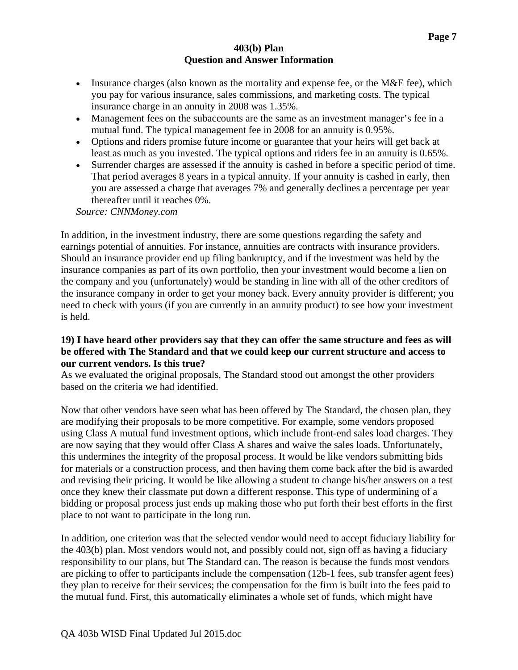- Insurance charges (also known as the mortality and expense fee, or the  $M&E$  fee), which you pay for various insurance, sales commissions, and marketing costs. The typical insurance charge in an annuity in 2008 was 1.35%.
- Management fees on the subaccounts are the same as an investment manager's fee in a mutual fund. The typical management fee in 2008 for an annuity is 0.95%.
- Options and riders promise future income or guarantee that your heirs will get back at least as much as you invested. The typical options and riders fee in an annuity is 0.65%.
- Surrender charges are assessed if the annuity is cashed in before a specific period of time. That period averages 8 years in a typical annuity. If your annuity is cashed in early, then you are assessed a charge that averages 7% and generally declines a percentage per year thereafter until it reaches 0%.

*Source: CNNMoney.com* 

In addition, in the investment industry, there are some questions regarding the safety and earnings potential of annuities. For instance, annuities are contracts with insurance providers. Should an insurance provider end up filing bankruptcy, and if the investment was held by the insurance companies as part of its own portfolio, then your investment would become a lien on the company and you (unfortunately) would be standing in line with all of the other creditors of the insurance company in order to get your money back. Every annuity provider is different; you need to check with yours (if you are currently in an annuity product) to see how your investment is held.

### **19) I have heard other providers say that they can offer the same structure and fees as will be offered with The Standard and that we could keep our current structure and access to our current vendors. Is this true?**

As we evaluated the original proposals, The Standard stood out amongst the other providers based on the criteria we had identified.

Now that other vendors have seen what has been offered by The Standard, the chosen plan, they are modifying their proposals to be more competitive. For example, some vendors proposed using Class A mutual fund investment options, which include front-end sales load charges. They are now saying that they would offer Class A shares and waive the sales loads. Unfortunately, this undermines the integrity of the proposal process. It would be like vendors submitting bids for materials or a construction process, and then having them come back after the bid is awarded and revising their pricing. It would be like allowing a student to change his/her answers on a test once they knew their classmate put down a different response. This type of undermining of a bidding or proposal process just ends up making those who put forth their best efforts in the first place to not want to participate in the long run.

In addition, one criterion was that the selected vendor would need to accept fiduciary liability for the 403(b) plan. Most vendors would not, and possibly could not, sign off as having a fiduciary responsibility to our plans, but The Standard can. The reason is because the funds most vendors are picking to offer to participants include the compensation (12b-1 fees, sub transfer agent fees) they plan to receive for their services; the compensation for the firm is built into the fees paid to the mutual fund. First, this automatically eliminates a whole set of funds, which might have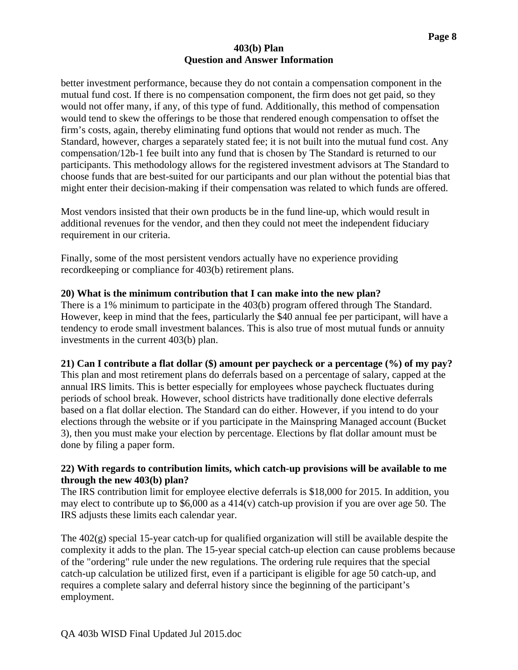better investment performance, because they do not contain a compensation component in the mutual fund cost. If there is no compensation component, the firm does not get paid, so they would not offer many, if any, of this type of fund. Additionally, this method of compensation would tend to skew the offerings to be those that rendered enough compensation to offset the firm's costs, again, thereby eliminating fund options that would not render as much. The Standard, however, charges a separately stated fee; it is not built into the mutual fund cost. Any compensation/12b-1 fee built into any fund that is chosen by The Standard is returned to our participants. This methodology allows for the registered investment advisors at The Standard to choose funds that are best-suited for our participants and our plan without the potential bias that might enter their decision-making if their compensation was related to which funds are offered.

Most vendors insisted that their own products be in the fund line-up, which would result in additional revenues for the vendor, and then they could not meet the independent fiduciary requirement in our criteria.

Finally, some of the most persistent vendors actually have no experience providing recordkeeping or compliance for 403(b) retirement plans.

### **20) What is the minimum contribution that I can make into the new plan?**

There is a 1% minimum to participate in the 403(b) program offered through The Standard. However, keep in mind that the fees, particularly the \$40 annual fee per participant, will have a tendency to erode small investment balances. This is also true of most mutual funds or annuity investments in the current 403(b) plan.

#### **21) Can I contribute a flat dollar (\$) amount per paycheck or a percentage (%) of my pay?**

This plan and most retirement plans do deferrals based on a percentage of salary, capped at the annual IRS limits. This is better especially for employees whose paycheck fluctuates during periods of school break. However, school districts have traditionally done elective deferrals based on a flat dollar election. The Standard can do either. However, if you intend to do your elections through the website or if you participate in the Mainspring Managed account (Bucket 3), then you must make your election by percentage. Elections by flat dollar amount must be done by filing a paper form.

### **22) With regards to contribution limits, which catch-up provisions will be available to me through the new 403(b) plan?**

The IRS contribution limit for employee elective deferrals is \$18,000 for 2015. In addition, you may elect to contribute up to  $$6,000$  as a 414(v) catch-up provision if you are over age 50. The IRS adjusts these limits each calendar year.

The 402(g) special 15-year catch-up for qualified organization will still be available despite the complexity it adds to the plan. The 15-year special catch-up election can cause problems because of the "ordering" rule under the new regulations. The ordering rule requires that the special catch-up calculation be utilized first, even if a participant is eligible for age 50 catch-up, and requires a complete salary and deferral history since the beginning of the participant's employment.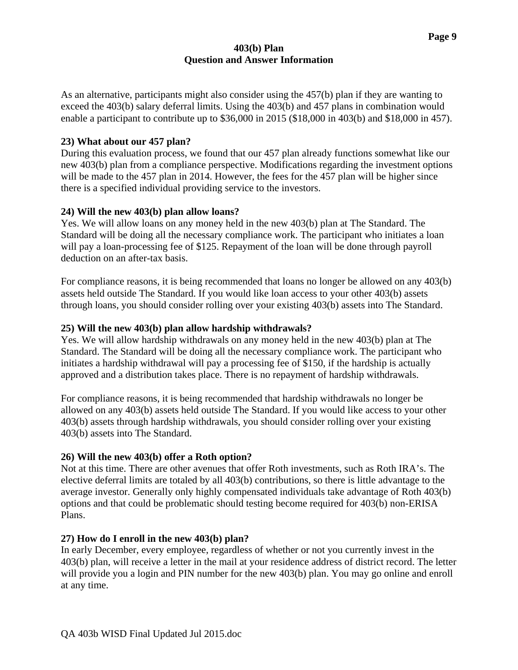As an alternative, participants might also consider using the 457(b) plan if they are wanting to exceed the 403(b) salary deferral limits. Using the 403(b) and 457 plans in combination would enable a participant to contribute up to \$36,000 in 2015 (\$18,000 in 403(b) and \$18,000 in 457).

## **23) What about our 457 plan?**

During this evaluation process, we found that our 457 plan already functions somewhat like our new 403(b) plan from a compliance perspective. Modifications regarding the investment options will be made to the 457 plan in 2014. However, the fees for the 457 plan will be higher since there is a specified individual providing service to the investors.

# **24) Will the new 403(b) plan allow loans?**

Yes. We will allow loans on any money held in the new 403(b) plan at The Standard. The Standard will be doing all the necessary compliance work. The participant who initiates a loan will pay a loan-processing fee of \$125. Repayment of the loan will be done through payroll deduction on an after-tax basis.

For compliance reasons, it is being recommended that loans no longer be allowed on any 403(b) assets held outside The Standard. If you would like loan access to your other 403(b) assets through loans, you should consider rolling over your existing 403(b) assets into The Standard.

# **25) Will the new 403(b) plan allow hardship withdrawals?**

Yes. We will allow hardship withdrawals on any money held in the new 403(b) plan at The Standard. The Standard will be doing all the necessary compliance work. The participant who initiates a hardship withdrawal will pay a processing fee of \$150, if the hardship is actually approved and a distribution takes place. There is no repayment of hardship withdrawals.

For compliance reasons, it is being recommended that hardship withdrawals no longer be allowed on any 403(b) assets held outside The Standard. If you would like access to your other 403(b) assets through hardship withdrawals, you should consider rolling over your existing 403(b) assets into The Standard.

# **26) Will the new 403(b) offer a Roth option?**

Not at this time. There are other avenues that offer Roth investments, such as Roth IRA's. The elective deferral limits are totaled by all 403(b) contributions, so there is little advantage to the average investor. Generally only highly compensated individuals take advantage of Roth 403(b) options and that could be problematic should testing become required for 403(b) non-ERISA Plans.

# **27) How do I enroll in the new 403(b) plan?**

In early December, every employee, regardless of whether or not you currently invest in the 403(b) plan, will receive a letter in the mail at your residence address of district record. The letter will provide you a login and PIN number for the new 403(b) plan. You may go online and enroll at any time.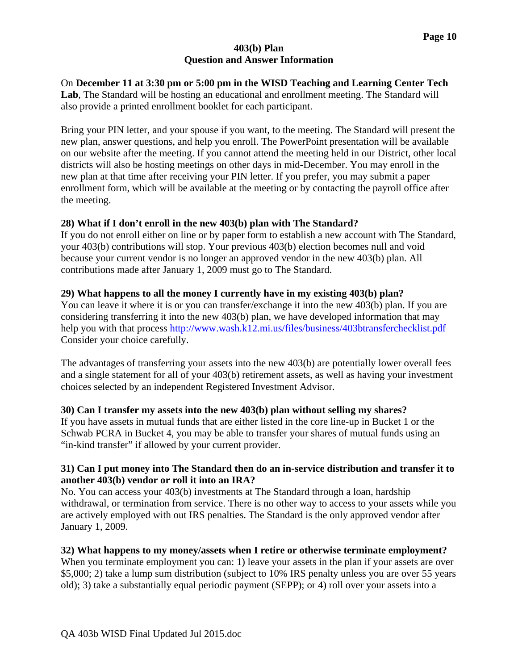On **December 11 at 3:30 pm or 5:00 pm in the WISD Teaching and Learning Center Tech Lab**, The Standard will be hosting an educational and enrollment meeting. The Standard will also provide a printed enrollment booklet for each participant.

Bring your PIN letter, and your spouse if you want, to the meeting. The Standard will present the new plan, answer questions, and help you enroll. The PowerPoint presentation will be available on our website after the meeting. If you cannot attend the meeting held in our District, other local districts will also be hosting meetings on other days in mid-December. You may enroll in the new plan at that time after receiving your PIN letter. If you prefer, you may submit a paper enrollment form, which will be available at the meeting or by contacting the payroll office after the meeting.

## **28) What if I don't enroll in the new 403(b) plan with The Standard?**

If you do not enroll either on line or by paper form to establish a new account with The Standard, your 403(b) contributions will stop. Your previous 403(b) election becomes null and void because your current vendor is no longer an approved vendor in the new 403(b) plan. All contributions made after January 1, 2009 must go to The Standard.

## **29) What happens to all the money I currently have in my existing 403(b) plan?**

You can leave it where it is or you can transfer/exchange it into the new 403(b) plan. If you are considering transferring it into the new 403(b) plan, we have developed information that may help you with that process http://www.wash.k12.mi.us/files/business/403btransferchecklist.pdf Consider your choice carefully.

The advantages of transferring your assets into the new 403(b) are potentially lower overall fees and a single statement for all of your 403(b) retirement assets, as well as having your investment choices selected by an independent Registered Investment Advisor.

# **30) Can I transfer my assets into the new 403(b) plan without selling my shares?**

If you have assets in mutual funds that are either listed in the core line-up in Bucket 1 or the Schwab PCRA in Bucket 4, you may be able to transfer your shares of mutual funds using an "in-kind transfer" if allowed by your current provider.

## **31) Can I put money into The Standard then do an in-service distribution and transfer it to another 403(b) vendor or roll it into an IRA?**

No. You can access your 403(b) investments at The Standard through a loan, hardship withdrawal, or termination from service. There is no other way to access to your assets while you are actively employed with out IRS penalties. The Standard is the only approved vendor after January 1, 2009.

## **32) What happens to my money/assets when I retire or otherwise terminate employment?**

When you terminate employment you can: 1) leave your assets in the plan if your assets are over \$5,000; 2) take a lump sum distribution (subject to 10% IRS penalty unless you are over 55 years old); 3) take a substantially equal periodic payment (SEPP); or 4) roll over your assets into a